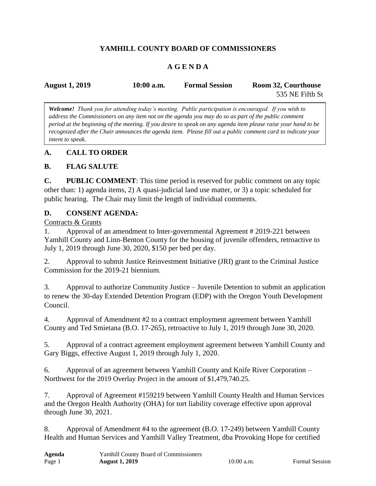# **YAMHILL COUNTY BOARD OF COMMISSIONERS**

# **A G E N D A**

| <b>August 1, 2019</b> | $10:00$ a.m. | <b>Formal Session</b> | Room 32, Courthouse |
|-----------------------|--------------|-----------------------|---------------------|
|                       |              |                       | 535 NE Fifth St     |

*Welcome! Thank you for attending today's meeting. Public participation is encouraged. If you wish to address the Commissioners on any item not on the agenda you may do so as part of the public comment period at the beginning of the meeting. If you desire to speak on any agenda item please raise your hand to be recognized after the Chair announces the agenda item. Please fill out a public comment card to indicate your intent to speak.*

## **A. CALL TO ORDER**

## **B. FLAG SALUTE**

**C. PUBLIC COMMENT**: This time period is reserved for public comment on any topic other than: 1) agenda items, 2) A quasi-judicial land use matter, or 3) a topic scheduled for public hearing. The Chair may limit the length of individual comments.

### **D. CONSENT AGENDA:**

#### Contracts & Grants

1. Approval of an amendment to Inter-governmental Agreement # 2019-221 between Yamhill County and Linn-Benton County for the housing of juvenile offenders, retroactive to July 1, 2019 through June 30, 2020, \$150 per bed per day.

2. Approval to submit Justice Reinvestment Initiative (JRI) grant to the Criminal Justice Commission for the 2019-21 biennium.

3. Approval to authorize Community Justice – Juvenile Detention to submit an application to renew the 30-day Extended Detention Program (EDP) with the Oregon Youth Development Council.

4. Approval of Amendment #2 to a contract employment agreement between Yamhill County and Ted Smietana (B.O. 17-265), retroactive to July 1, 2019 through June 30, 2020.

5. Approval of a contract agreement employment agreement between Yamhill County and Gary Biggs, effective August 1, 2019 through July 1, 2020.

6. Approval of an agreement between Yamhill County and Knife River Corporation – Northwest for the 2019 Overlay Project in the amount of \$1,479,740.25.

7. Approval of Agreement #159219 between Yamhill County Health and Human Services and the Oregon Health Authority (OHA) for tort liability coverage effective upon approval through June 30, 2021.

8. Approval of Amendment #4 to the agreement (B.O. 17-249) between Yamhill County Health and Human Services and Yamhill Valley Treatment, dba Provoking Hope for certified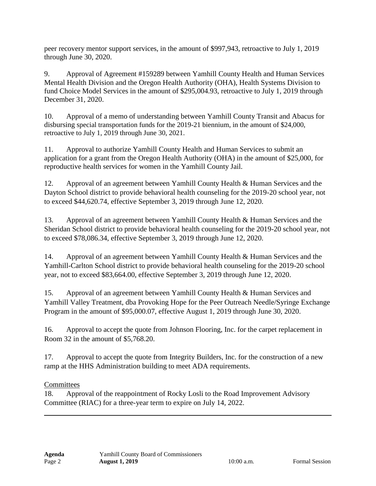peer recovery mentor support services, in the amount of \$997,943, retroactive to July 1, 2019 through June 30, 2020.

9. Approval of Agreement #159289 between Yamhill County Health and Human Services Mental Health Division and the Oregon Health Authority (OHA), Health Systems Division to fund Choice Model Services in the amount of \$295,004.93, retroactive to July 1, 2019 through December 31, 2020.

10. Approval of a memo of understanding between Yamhill County Transit and Abacus for disbursing special transportation funds for the 2019-21 biennium, in the amount of \$24,000, retroactive to July 1, 2019 through June 30, 2021.

11. Approval to authorize Yamhill County Health and Human Services to submit an application for a grant from the Oregon Health Authority (OHA) in the amount of \$25,000, for reproductive health services for women in the Yamhill County Jail.

12. Approval of an agreement between Yamhill County Health & Human Services and the Dayton School district to provide behavioral health counseling for the 2019-20 school year, not to exceed \$44,620.74, effective September 3, 2019 through June 12, 2020.

13. Approval of an agreement between Yamhill County Health & Human Services and the Sheridan School district to provide behavioral health counseling for the 2019-20 school year, not to exceed \$78,086.34, effective September 3, 2019 through June 12, 2020.

14. Approval of an agreement between Yamhill County Health & Human Services and the Yamhill-Carlton School district to provide behavioral health counseling for the 2019-20 school year, not to exceed \$83,664.00, effective September 3, 2019 through June 12, 2020.

15. Approval of an agreement between Yamhill County Health & Human Services and Yamhill Valley Treatment, dba Provoking Hope for the Peer Outreach Needle/Syringe Exchange Program in the amount of \$95,000.07, effective August 1, 2019 through June 30, 2020.

16. Approval to accept the quote from Johnson Flooring, Inc. for the carpet replacement in Room 32 in the amount of \$5,768.20.

17. Approval to accept the quote from Integrity Builders, Inc. for the construction of a new ramp at the HHS Administration building to meet ADA requirements.

## **Committees**

18. Approval of the reappointment of Rocky Losli to the Road Improvement Advisory Committee (RIAC) for a three-year term to expire on July 14, 2022.